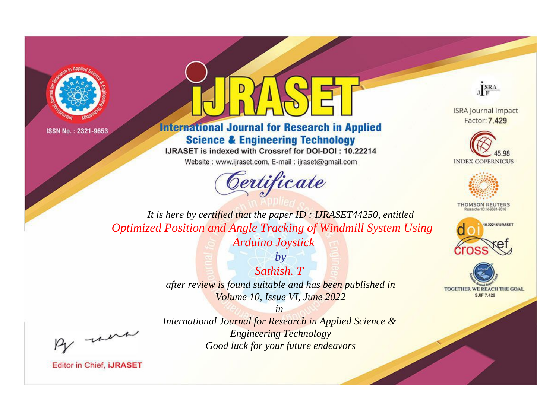



**International Journal for Research in Applied Science & Engineering Technology** 

IJRASET is indexed with Crossref for DOI-DOI: 10.22214

Website: www.ijraset.com, E-mail: ijraset@gmail.com



JERA

**ISRA Journal Impact** Factor: 7.429





**THOMSON REUTERS** 



TOGETHER WE REACH THE GOAL **SJIF 7.429** 

It is here by certified that the paper ID: IJRASET44250, entitled **Optimized Position and Angle Tracking of Windmill System Using Arduino Joystick** 

> $b\nu$ Sathish T after review is found suitable and has been published in Volume 10, Issue VI, June 2022

were

International Journal for Research in Applied Science & **Engineering Technology** Good luck for your future endeavors

 $in$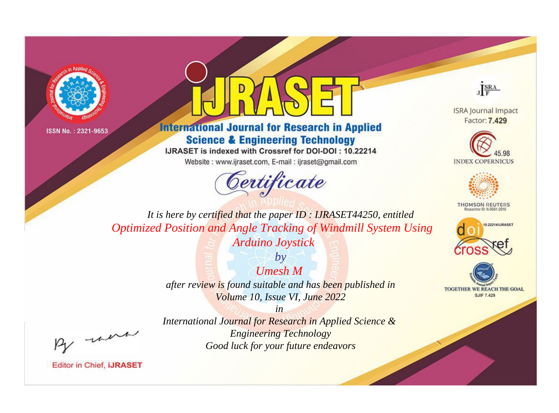



**International Journal for Research in Applied Science & Engineering Technology** 

IJRASET is indexed with Crossref for DOI-DOI: 10.22214

Website: www.ijraset.com, E-mail: ijraset@gmail.com



JERA

**ISRA Journal Impact** Factor: 7.429





**THOMSON REUTERS** 



TOGETHER WE REACH THE GOAL **SJIF 7.429** 

It is here by certified that the paper ID: IJRASET44250, entitled **Optimized Position and Angle Tracking of Windmill System Using Arduino Joystick** 

> $by$  $U$ <sub>mesh</sub> $M$ after review is found suitable and has been published in Volume 10, Issue VI, June 2022

were

International Journal for Research in Applied Science & **Engineering Technology** Good luck for your future endeavors

 $in$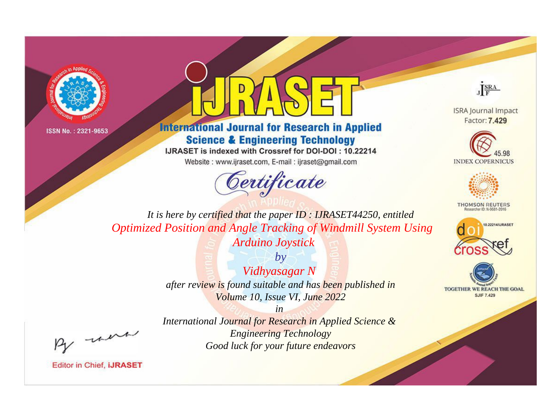



**International Journal for Research in Applied Science & Engineering Technology** 

IJRASET is indexed with Crossref for DOI-DOI: 10.22214

Website: www.ijraset.com, E-mail: ijraset@gmail.com



JERA

**ISRA Journal Impact** Factor: 7.429





**THOMSON REUTERS** 



TOGETHER WE REACH THE GOAL **SJIF 7.429** 

*It is here by certified that the paper ID : IJRASET44250, entitled Optimized Position and Angle Tracking of Windmill System Using Arduino Joystick*

> *by Vidhyasagar N after review is found suitable and has been published in Volume 10, Issue VI, June 2022*

> > *in*

, un

*International Journal for Research in Applied Science & Engineering Technology Good luck for your future endeavors*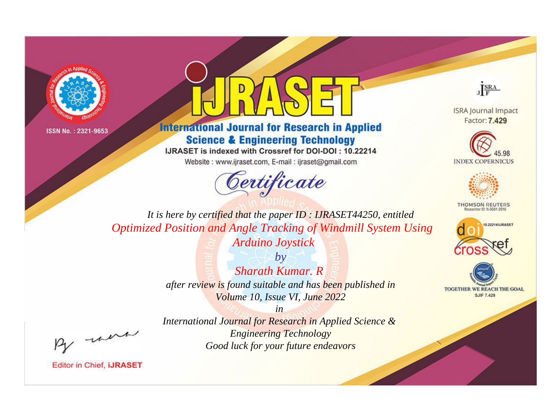



**International Journal for Research in Applied Science & Engineering Technology** 

IJRASET is indexed with Crossref for DOI-DOI: 10.22214

Website: www.ijraset.com, E-mail: ijraset@gmail.com



JERA

**ISRA Journal Impact** Factor: 7.429





**THOMSON REUTERS** 



TOGETHER WE REACH THE GOAL **SJIF 7.429** 

It is here by certified that the paper ID: IJRASET44250, entitled **Optimized Position and Angle Tracking of Windmill System Using Arduino Joystick** 

> $b\nu$ **Sharath Kumar, R** after review is found suitable and has been published in Volume 10, Issue VI, June 2022

were

International Journal for Research in Applied Science & **Engineering Technology** Good luck for your future endeavors

 $in$